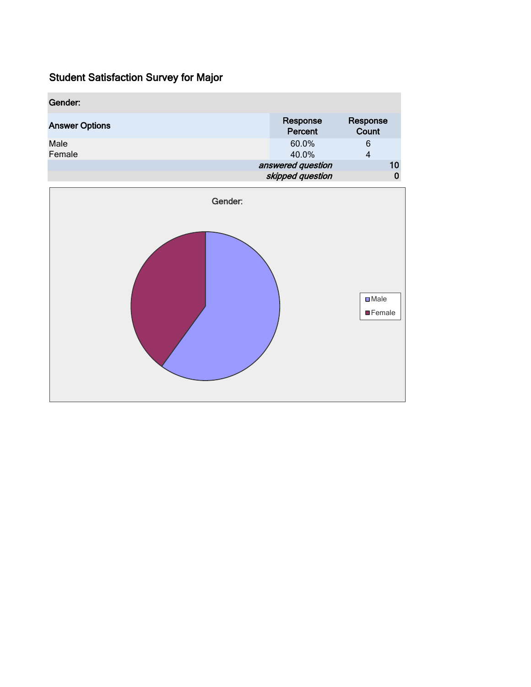| Gender:               |                     |                   |
|-----------------------|---------------------|-------------------|
| <b>Answer Options</b> | Response<br>Percent | Response<br>Count |
| Male<br>Female        | 60.0%<br>40.0%      | 6<br>4            |
|                       | answered question   | 10                |
|                       | skipped question    |                   |

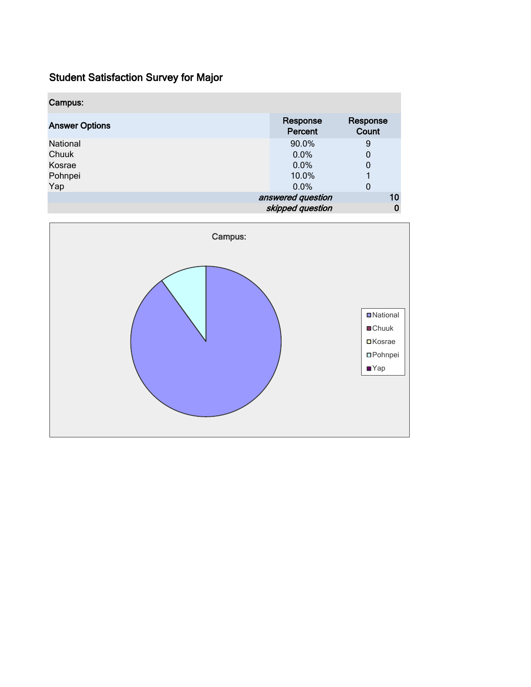| Campus:               |                     |                   |
|-----------------------|---------------------|-------------------|
| <b>Answer Options</b> | Response<br>Percent | Response<br>Count |
| National              | 90.0%               | 9                 |
| Chuuk                 | 0.0%                | 0                 |
| Kosrae                | 0.0%                | 0                 |
| Pohnpei               | 10.0%               |                   |
| Yap                   | 0.0%                | 0                 |
|                       | answered question   | 10                |
|                       | skipped question    | 0                 |

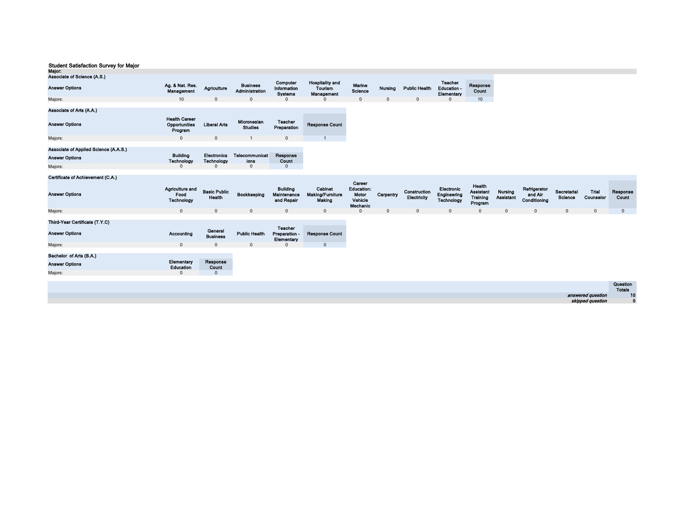| Major:                                                                                                          |                                                  |                                         |                                   |                                                     |                                                 |                                                             |           |                             |                                                    |                                                          |                                    |
|-----------------------------------------------------------------------------------------------------------------|--------------------------------------------------|-----------------------------------------|-----------------------------------|-----------------------------------------------------|-------------------------------------------------|-------------------------------------------------------------|-----------|-----------------------------|----------------------------------------------------|----------------------------------------------------------|------------------------------------|
| Associate of Science (A.S.)                                                                                     |                                                  |                                         |                                   |                                                     |                                                 |                                                             |           |                             |                                                    |                                                          |                                    |
| <b>Answer Options</b>                                                                                           | Ag. & Nat. Res.<br>Management                    | Agriculture                             | <b>Business</b><br>Administration | Computer<br>Information<br><b>Systems</b>           | <b>Hospitality and</b><br>Tourism<br>Management | Marine<br><b>Science</b>                                    | Nursing   | <b>Public Health</b>        | <b>Teacher</b><br><b>Education -</b><br>Elementary | Response<br>Count                                        |                                    |
| Majors:                                                                                                         | 10                                               | $\mathbf{0}$                            | $\mathbf{0}$                      |                                                     | $\Omega$                                        | $\mathbf 0$                                                 | 0         | $\mathbf 0$                 | $\Omega$                                           | 10                                                       |                                    |
| Associate of Arts (A.A.)                                                                                        |                                                  |                                         |                                   |                                                     |                                                 |                                                             |           |                             |                                                    |                                                          |                                    |
| <b>Answer Options</b>                                                                                           | <b>Health Career</b><br>Opportunities<br>Program | <b>Liberal Arts</b>                     | Micronesian<br><b>Studies</b>     | <b>Teacher</b><br>Preparation                       | <b>Response Count</b>                           |                                                             |           |                             |                                                    |                                                          |                                    |
| Majors:                                                                                                         | $\mathbf{0}$                                     | $\mathbf 0$                             |                                   | $\mathbf 0$                                         |                                                 |                                                             |           |                             |                                                    |                                                          |                                    |
| Associate of Applied Science (A.A.S.)                                                                           |                                                  |                                         |                                   |                                                     |                                                 |                                                             |           |                             |                                                    |                                                          |                                    |
| <b>Answer Options</b>                                                                                           | <b>Building</b><br>Technology                    | <b>Electronics</b><br><b>Technology</b> | <b>Telecommunicat</b><br>ions     | Response<br>Count                                   |                                                 |                                                             |           |                             |                                                    |                                                          |                                    |
| Majors:                                                                                                         | $\Omega$                                         | $\Omega$                                | $\mathbf{0}$                      | $\mathbf{0}$                                        |                                                 |                                                             |           |                             |                                                    |                                                          |                                    |
| Certificate of Achievement (C.A.)                                                                               |                                                  |                                         |                                   |                                                     |                                                 |                                                             |           |                             |                                                    |                                                          |                                    |
| <b>Answer Options</b>                                                                                           | Agriculture and<br>Food<br>Technology            | <b>Basic Public</b><br>Health           | Bookkeeping                       | <b>Building</b><br><b>Maintenance</b><br>and Repair | Cabinet<br><b>Making/Furniture</b><br>Making    | Career<br><b>Education:</b><br>Motor<br>Vehicle<br>Mechanic | Carpentry | Construction<br>Electricity | Electronic<br>Engineering<br>Technology            | Health<br><b>Assistant</b><br><b>Training</b><br>Program | <b>Nursing</b><br><b>Assistant</b> |
| Majors:                                                                                                         | $\mathbf{0}$                                     | $\mathbf{0}$                            | $\mathbf{0}$                      | $\mathbf 0$                                         | $\mathbf 0$                                     | $\mathbf 0$                                                 | 0         | $\mathbf 0$                 | $\mathbf 0$                                        | $\mathbf 0$                                              | $\mathbf 0$                        |
| The book in the constitution of the Constitution of the Constitution of the Constitution of the Constitution of |                                                  |                                         |                                   |                                                     |                                                 |                                                             |           |                             |                                                    |                                                          |                                    |

| Ining-Year Certificate (I.Y.C) |            |                            |                      |                                               |                       |
|--------------------------------|------------|----------------------------|----------------------|-----------------------------------------------|-----------------------|
| <b>Answer Options</b>          | Accounting | General<br><b>Business</b> | <b>Public Health</b> | <b>Teacher</b><br>Preparation -<br>Elementary | <b>Response Count</b> |
| Maiors:                        |            |                            |                      |                                               |                       |
| Bachelor of Arts (B.A.)        |            |                            |                      |                                               |                       |

| <b>Answer Options</b> | Elementary<br>Education | Response<br>Count |
|-----------------------|-------------------------|-------------------|
| Maiors:               |                         |                   |

|                   | Question<br><b>Totals</b> |
|-------------------|---------------------------|
| answered question | 10                        |
| skipped question  |                           |

Refrigerator and Air Conditioning

Secretarial Science Trial Counselor

 $\begin{array}{ccccccc}\n0 & 0 & 0 & 0 & 0\n\end{array}$ 

Response Count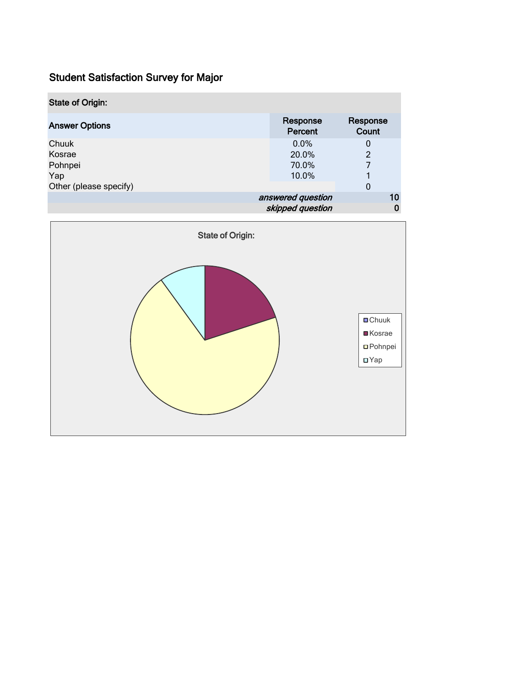| <b>State of Origin:</b> |                     |                   |
|-------------------------|---------------------|-------------------|
| <b>Answer Options</b>   | Response<br>Percent | Response<br>Count |
| Chuuk                   | $0.0\%$             | 0                 |
| Kosrae                  | 20.0%               | $\overline{2}$    |
| Pohnpei                 | 70.0%               | 7                 |
| Yap                     | 10.0%               |                   |
| Other (please specify)  |                     | 0                 |
|                         | answered question   | 10                |
|                         | skipped question    | 0                 |